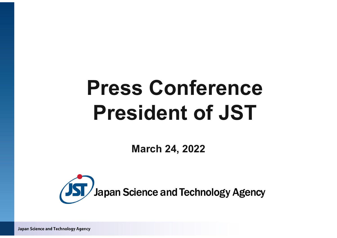# **Press Conference President of JST**

**March 24, 2022**



Japan Science and Technology Agency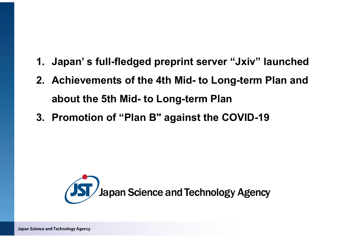- **1. Japan' s full-fledged preprint server "Jxiv" launched**
- **2. Achievements of the 4th Mid- to Long-term Plan and about the 5th Mid- to Long-term Plan**
- **3. Promotion of "Plan B" against the COVID-19**

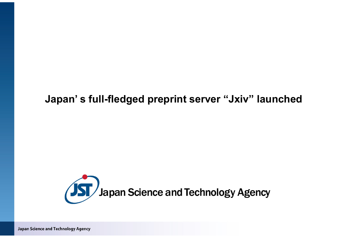### **Japan' s full-fledged preprint server "Jxiv" launched**



Japan Science and Technology Agency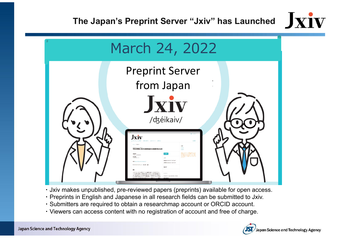



- ・Jxiv makes unpublished, pre-reviewed papers (preprints) available for open access.
- ・Preprints in English and Japanese in all research fields can be submitted to Jxiv.
- ・Submitters are required to obtain a researchmap account or ORCID account.
- ・Viewers can access content with no registration of account and free of charge.

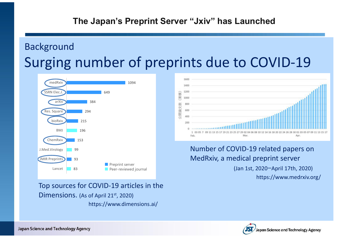## Background Surging number of preprints due to COVID ‐19

1600



1400 1200  $\widehat{\mathbf{B}}$ R 1000 封 公開論文 40

#### Number of COVID ‐19 related papers on MedRxiv, a medical preprint server

https://www.medrxiv.org/ (Jan 1st, 2020 <sup>ー</sup>April 17th, 2020)

Top sources for COVID ‐19 articles in the  $Dimensions.$  (As of April 21st, 2020) https://www.dimensions.ai/

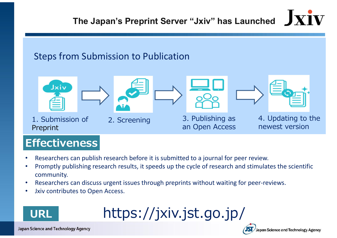# **The Japan's Preprint Server "Jxiv" has Launched**

### Steps from Submission to Publication



### **Effectiveness**

- •Researchers can publish research before it is submitted to a journal for peer review.
- • Promptly publishing research results, it speeds up the cycle of research and stimulates the scientific community.
- •• Researchers can discuss urgent issues through preprints without waiting for peer-reviews.
- •Jxiv contributes to Open Access.



https://jxiv.jst.go.jp/

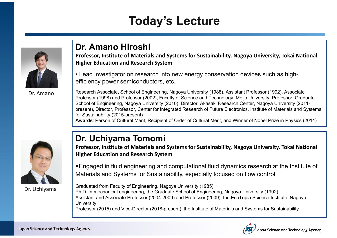### **Today's Lecture**



Dr. Amano

#### **Dr. Amano Hiroshi**

**Professor, Institute of Materials and Systems for Sustainability, Nagoya University, Tokai National Higher Education and Research System**

• Lead investigator on research into new energy conservation devices such as highefficiency power semiconductors, etc.

Research Associate, School of Engineering, Nagoya University (1988), Assistant Professor (1992), Associate Professor (1998) and Professor (2002), Faculty of Science and Technology, Meijo University, Professor, Graduate School of Engineering, Nagoya University (2010), Director, Akasaki Research Center, Nagoya University (2011 present), Director, Professor, Center for Integrated Research of Future Electronics, Institute of Materials and Systems for Sustainability (2015-present)

**Awards**: Person of Cultural Merit, Recipient of Order of Cultural Merit, and Winner of Nobel Prize in Physics (2014)



Dr. Uchiyama

### **Dr. Uchiyama Tomomi**

**Professor, Institute of Materials and Systems for Sustainability, Nagoya University, Tokai National Higher Education and Research System**

•Engaged in fluid engineering and computational fluid dynamics research at the Institute of Materials and Systems for Sustainability, especially focused on flow control.

Graduated from Faculty of Engineering, Nagoya University (1985). Ph.D. in mechanical engineering, the Graduate School of Engineering, Nagoya University (1992). Assistant and Associate Professor (2004-2009) and Professor (2009), the EcoTopia Science Institute, Nagoya University.

Professor (2015) and Vice-Director (2018-present), the Institute of Materials and Systems for Sustainability.

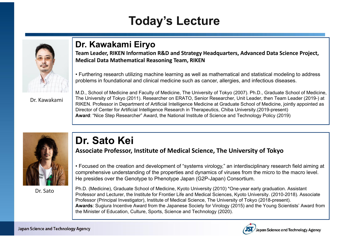## **Today's Lecture**



#### **Dr. Kawakami Eiryo**

**Team Leader, RIKEN Information R&D and Strategy Headquarters, Advanced Data Science Project, Medical Data Mathematical Reasoning Team, RIKEN**

• Furthering research utilizing machine learning as well as mathematical and statistical modeling to address problems in foundational and clinical medicine such as cancer, allergies, and infectious diseases.

Dr. Kawakami

M.D., School of Medicine and Faculty of Medicine, The University of Tokyo (2007). Ph.D., Graduate School of Medicine, The University of Tokyo (2011). Researcher on ERATO, Senior Researcher, Unit Leader, then Team Leader (2019-) at RIKEN. Professor in Department of Artificial Intelligence Medicine at Graduate School of Medicine, jointly appointed as Director of Center for Artificial Intelligence Research in Therapeutics, Chiba University.(2019-present) **Award**: "Nice Step Researcher" Award, the National Institute of Science and Technology Policy (2019)



Dr. Sato

### **Dr. Sato Kei**

**Associate Professor, Institute of Medical Science, The University of Tokyo**

• Focused on the creation and development of "systems virology," an interdisciplinary research field aiming at comprehensive understanding of the properties and dynamics of viruses from the micro to the macro level. He presides over the Genotype to Phenotype Japan (G2P-Japan) Consortium.

Ph.D. (Medicine), Graduate School of Medicine, Kyoto University (2010) \*One-year early graduation. Assistant Professor and Lecturer, the Institute for Frontier Life and Medical Sciences, Kyoto University. (2010-2018). Associate Professor (Principal Investigator), Institute of Medical Science, The University of Tokyo (2018-present). **Awards**: Sugiura Incentive Award from the Japanese Society for Virology (2015) and the Young Scientists' Award from the Minister of Education, Culture, Sports, Science and Technology (2020).